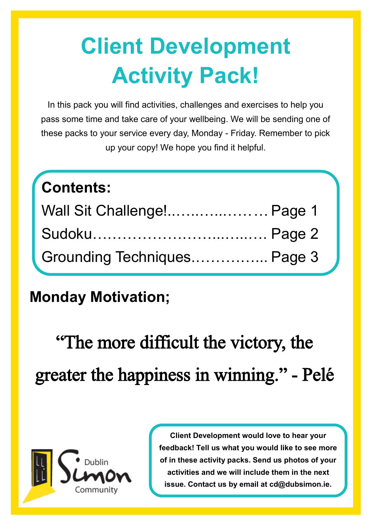# **Client Development Activity Pack!**

In this pack you will find activities, challenges and exercises to help you pass some time and take care of your wellbeing. We will be sending one of these packs to your service every day, Monday - Friday. Remember to pick up your copy! We hope you find it helpful.

# **Contents:**

| Wall Sit Challenge! Page 1  |  |
|-----------------------------|--|
|                             |  |
| Grounding Techniques Page 3 |  |

## **Monday Motivation;**

"The more difficult the victory, the greater the happiness in winning." - Pelé



**Client Development would love to hear your feedback! Tell us what you would like to see more of in these activity packs. Send us photos of your activities and we will include them in the next issue. Contact us by email at cd@dubsimon.ie.**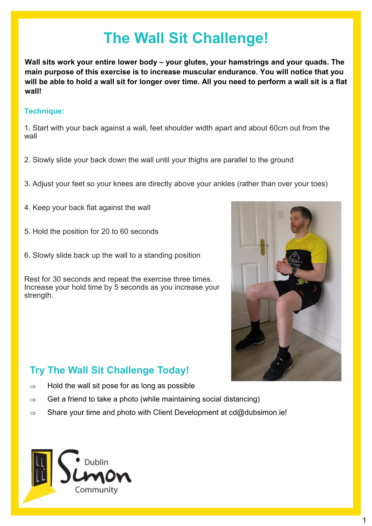# **The Wall Sit Challenge!**

**Wall sits work your entire lower body – your glutes, your hamstrings and your quads. The main purpose of this exercise is to increase muscular endurance. You will notice that you will be able to hold a wall sit for longer over time. All you need to perform a wall sit is a flat wall!**

### **Technique:**

1. Start with your back against a wall, feet shoulder width apart and about 60cm out from the wall

- 2. Slowly slide your back down the wall until your thighs are parallel to the ground
- 3. Adjust your feet so your knees are directly above your ankles (rather than over your toes)
- 4. Keep your back flat against the wall
- 5. Hold the position for 20 to 60 seconds
- 6. Slowly slide back up the wall to a standing position

Rest for 30 seconds and repeat the exercise three times. Increase your hold time by 5 seconds as you increase your strength.



### **Try The Wall Sit Challenge Today!**

- $\Rightarrow$  Hold the wall sit pose for as long as possible
- $\Rightarrow$  Get a friend to take a photo (while maintaining social distancing)
- $\Rightarrow$  Share your time and photo with Client Development at cd@dubsimon.ie!

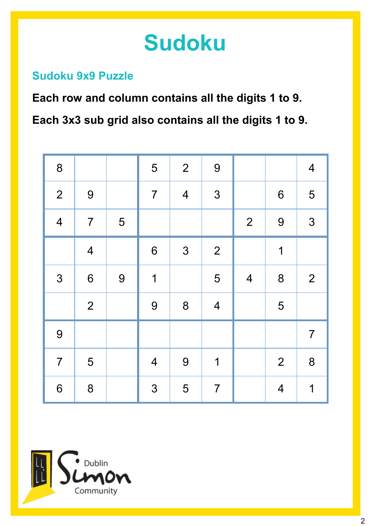# **Sudoku**

## **Sudoku 9x9 Puzzle**

**Each row and column contains all the digits 1 to 9.**

**Each 3x3 sub grid also contains all the digits 1 to 9.**

| 8                        |                         |   | 5              | $\overline{2}$          | 9                       |                |                | $\overline{\mathbf{4}}$ |
|--------------------------|-------------------------|---|----------------|-------------------------|-------------------------|----------------|----------------|-------------------------|
| $\overline{2}$           | $\boldsymbol{9}$        |   | $\overline{7}$ | $\overline{\mathbf{4}}$ | 3                       |                | $6\,$          | 5                       |
| $\overline{\mathcal{A}}$ | $\overline{7}$          | 5 |                |                         |                         | $\overline{2}$ | 9              | 3                       |
|                          | $\overline{\mathbf{4}}$ |   | 6              | $\mathfrak{S}$          | $\overline{2}$          |                | $\mathbf 1$    |                         |
| $\mathfrak{S}$           | $\boldsymbol{6}$        | 9 | 1              |                         | 5                       | $\overline{4}$ | 8              | $\overline{2}$          |
|                          | $\overline{2}$          |   | 9              | 8                       | $\overline{\mathbf{4}}$ |                | 5              |                         |
| $\overline{9}$           |                         |   |                |                         |                         |                |                | $\overline{7}$          |
| $\overline{7}$           | 5                       |   | $\overline{4}$ | 9                       | 1                       |                | $\overline{2}$ | 8                       |
| $6\phantom{1}6$          | 8                       |   | 3              | 5                       | $\overline{7}$          |                | $\overline{4}$ | 1                       |